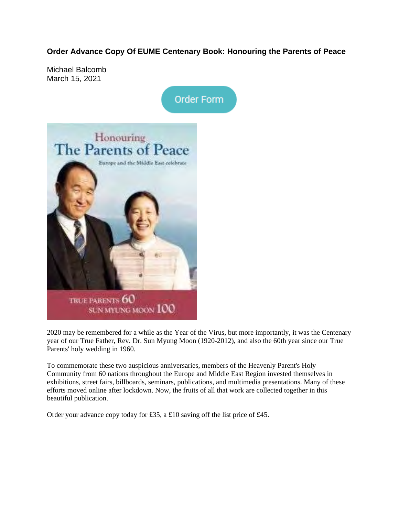**Order Advance Copy Of EUME Centenary Book: Honouring the Parents of Peace**

Michael Balcomb March 15, 2021





2020 may be remembered for a while as the Year of the Virus, but more importantly, it was the Centenary year of our True Father, Rev. Dr. Sun Myung Moon (1920-2012), and also the 60th year since our True Parents' holy wedding in 1960.

To commemorate these two auspicious anniversaries, members of the Heavenly Parent's Holy Community from 60 nations throughout the Europe and Middle East Region invested themselves in exhibitions, street fairs, billboards, seminars, publications, and multimedia presentations. Many of these efforts moved online after lockdown. Now, the fruits of all that work are collected together in this beautiful publication.

Order your advance copy today for £35, a £10 saving off the list price of £45.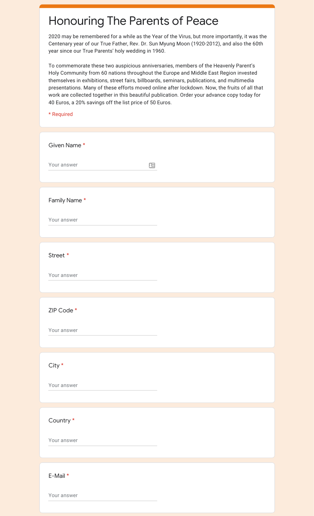## Honouring The Parents of Peace

2020 may be remembered for a while as the Year of the Virus, but more importantly, it was the Centenary year of our True Father, Rev. Dr. Sun Myung Moon (1920-2012), and also the 60th year since our True Parents' holy wedding in 1960.

To commemorate these two auspicious anniversaries, members of the Heavenly Parent's Holy Community from 60 nations throughout the Europe and Middle East Region invested themselves in exhibitions, street fairs, billboards, seminars, publications, and multimedia presentations. Many of these efforts moved online after lockdown. Now, the fruits of all that work are collected together in this beautiful publication. Order your advance copy today for 40 Euros, a 20% savings off the list price of 50 Euros.

## \* Required

Your answer

| Given Name*  |              |
|--------------|--------------|
| Your answer  | $\mathbf{r}$ |
| Family Name* |              |
| Your answer  |              |
| Street *     |              |
| Your answer  |              |
| ZIP Code *   |              |
| Your answer  |              |
| $City *$     |              |
| Your answer  |              |
| Country *    |              |
| Your answer  |              |
| E-Mail *     |              |